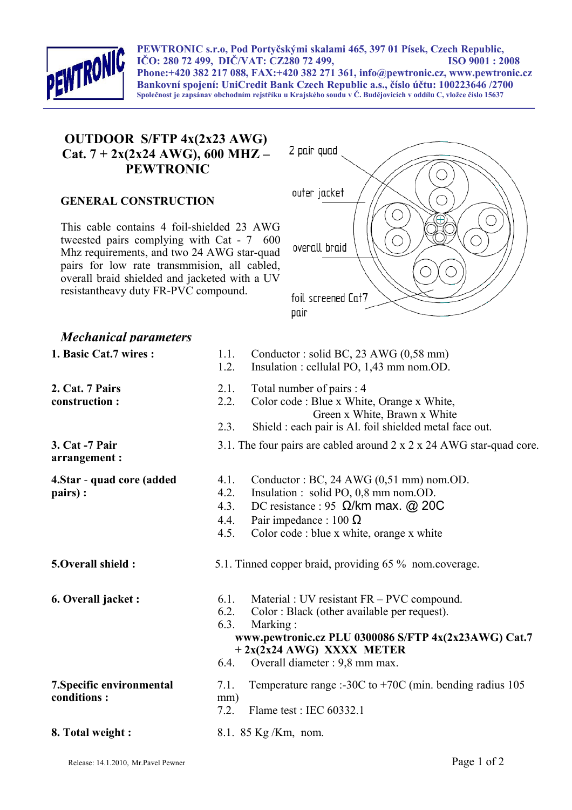

**PEWTRONIC s.r.o, Pod Portyčskými skalami 465, 397 01 Písek, Czech Republic, IČO: 280 72 499, DIČ/VAT: CZ280 72 499, ISO 9001 : 2008 Phone:+420 382 217 088, FAX:+420 382 271 361, info@pewtronic.cz, www.pewtronic.cz Bankovní spojení: UniCredit Bank Czech Republic a.s., číslo účtu: 100223646 /2700 Společnost je zapsánav obchodním rejstříku u Krajského soudu v Č. Budějovicích v oddílu C, vložce číslo 15637**

## **OUTDOOR S/FTP 4x(2x23 AWG) Cat. 7 + 2x(2x24 AWG), 600 MHZ – PEWTRONIC**

## **GENERAL CONSTRUCTION**

This cable contains 4 foil-shielded 23 AWG tweested pairs complying with Cat - 7 600 Mhz requirements, and two 24 AWG star-quad pairs for low rate transmmision, all cabled, overall braid shielded and jacketed with a UV resistantheavy duty FR-PVC compound.



## *Mechanical parameters*

**2. Cat. 7 Pairs construction :**

**3. Cat -7 Pair arrangement :**

**pairs) :**

**4.Star** - **quad core (added**

- **1. Basic Cat.7 wires :** 1.1. Conductor : solid BC, 23 AWG (0,58 mm)
	- 1.2. Insulation : cellulal PO, 1,43 mm nom.OD.
	- 2.1. Total number of pairs : 4
	- 2.2. Color code : Blue x White, Orange x White, Green x White, Brawn x White
	- 2.3. Shield : each pair is Al. foil shielded metal face out.
	- 3.1. The four pairs are cabled around 2 x 2 x 24 AWG star-quad core.
	- 4.1. Conductor : BC, 24 AWG (0,51 mm) nom.OD.
	- 4.2. Insulation : solid PO, 0,8 mm nom.OD.
	- 4.3. DC resistance : 95  $\Omega$ /km max. @ 20C
	- 4.4. Pair impedance : 100  $\Omega$
	- 4.5. Color code : blue x white, orange x white
- **5.Overall shield :** 5.1. Tinned copper braid, providing 65 % nom.coverage.
- **6. Overall jacket :** 6.1. Material : UV resistant FR PVC compound.
	- 6.2. Color : Black (other available per request).
	- 6.3. Marking :
		- **www.pewtronic.cz PLU 0300086 S/FTP 4x(2x23AWG) Cat.7 + 2x(2x24 AWG) XXXX METER**
	- 6.4. Overall diameter : 9,8 mm max.
	- 7.1. Temperature range :-30C to +70C (min. bending radius 105 mm)
	- 7.2. Flame test : IEC 60332.1
- **8. Total weight :** 8.1. 85 Kg/Km, nom.

**7.Specific environmental** 

**conditions :**